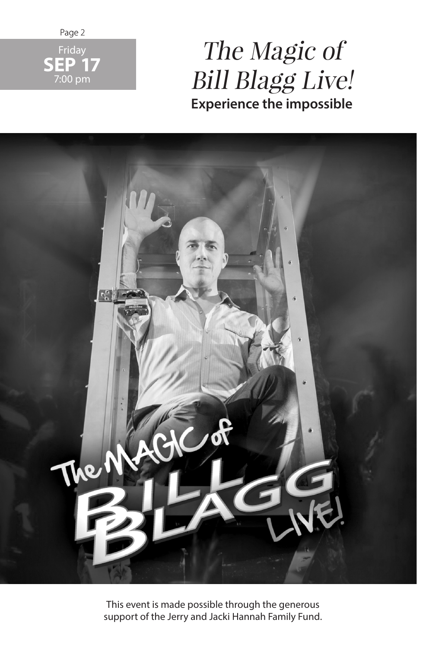

## The Magic of Bill Blagg Live! **Experience the impossible**



This event is made possible through the generous support of the Jerry and Jacki Hannah Family Fund.